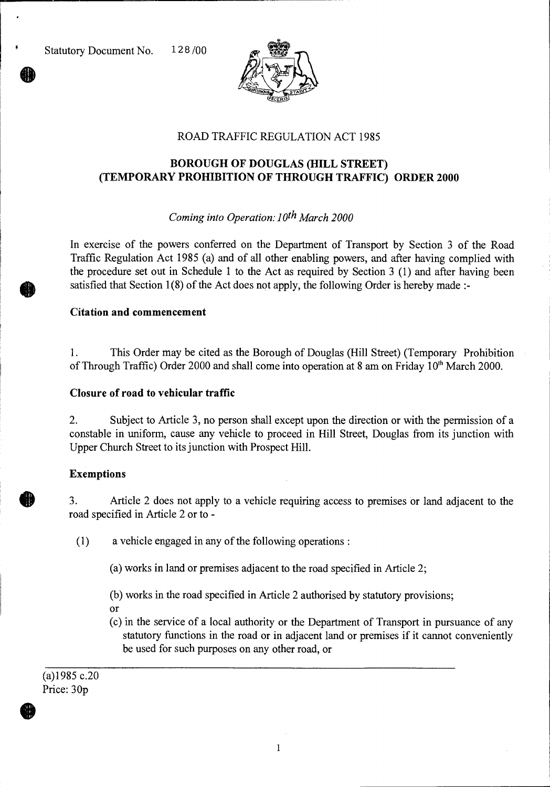

# ROAD TRAFFIC REGULATION ACT 1985

## **BOROUGH OF DOUGLAS (HILL STREET) (TEMPORARY PROHIBITION OF THROUGH TRAFFIC) ORDER 2000**

### *Coming into Operation: 10th March 2000*

In exercise of the powers conferred on the Department of Transport by Section 3 of the Road Traffic Regulation Act 1985 (a) and of all other enabling powers, and after having complied with the procedure set out in Schedule 1 to the Act as required by Section 3 (1) and after having been satisfied that Section 1(8) of the Act does not apply, the following Order is hereby made :-

#### **Citation and commencement**

1. This Order may be cited as the Borough of Douglas (Hill Street) (Temporary Prohibition of Through Traffic) Order 2000 and shall come into operation at 8 am on Friday  $10<sup>th</sup>$  March 2000.

#### **Closure of road to vehicular traffic**

2. Subject to Article 3, no person shall except upon the direction or with the permission of a constable in uniform, cause any vehicle to proceed in Hill Street, Douglas from its junction with Upper Church Street to its junction with Prospect Hill.

### **Exemptions**

3. Article 2 does not apply to a vehicle requiring access to premises or land adjacent to the road specified in Article 2 or to -

(1) a vehicle engaged in any of the following operations :

- (a) works in land or premises adjacent to the road specified in Article 2;
- (b) works in the road specified in Article 2 authorised by statutory provisions;
- Or
- (c) in the service of a local authority or the Department of Transport in pursuance of any statutory functions in the road or in adjacent land or premises if it cannot conveniently be used for such purposes on any other road, or

(a)1985 c.20 Price: 30p